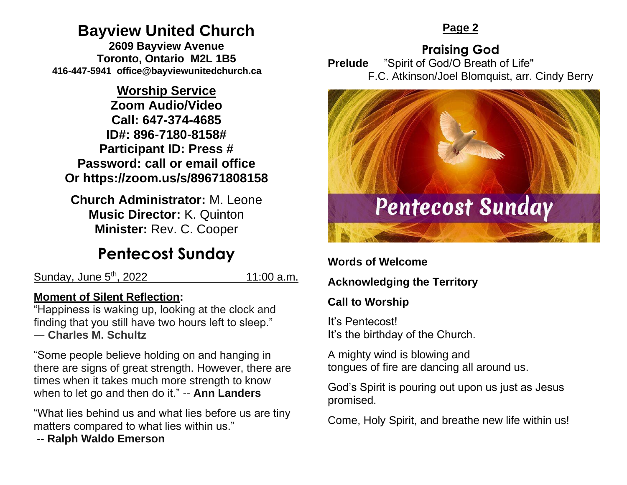# **Bayview United Church**

**2609 Bayview Avenue Toronto, Ontario M2L 1B5 416-447-5941 office@bayviewunitedchurch.ca** 

# **Worship Service**

**Zoom Audio/Video Call: 647-374-4685 ID#: 896-7180-8158# Participant ID: Press # Password: call or email office Or https://zoom.us/s/89671808158** 

**Church Administrator:** M. Leone **Music Director:** K. Quinton **Minister:** Rev. C. Cooper

# **Pentecost Sunday**

Sunday, June  $5<sup>th</sup>$ , 2022 11:00 a.m.

# **Moment of Silent Reflection:**

"Happiness is waking up, looking at the clock and finding that you still have two hours left to sleep." ― **Charles M. Schultz**

"Some people believe holding on and hanging in there are signs of great strength. However, there are times when it takes much more strength to know when to let go and then do it." -- **Ann Landers**

"What lies behind us and what lies before us are tiny matters compared to what lies within us."

-- **Ralph Waldo Emerson**

### **Page 2**

#### **Praising God Prelude** "Spirit of God/O Breath of Life" F.C. Atkinson/Joel Blomquist, arr. Cindy Berry



### **Words of Welcome**

# **Acknowledging the Territory**

# **Call to Worship**

It's Pentecost! It's the birthday of the Church.

A mighty wind is blowing and tongues of fire are dancing all around us.

God's Spirit is pouring out upon us just as Jesus promised.

Come, Holy Spirit, and breathe new life within us!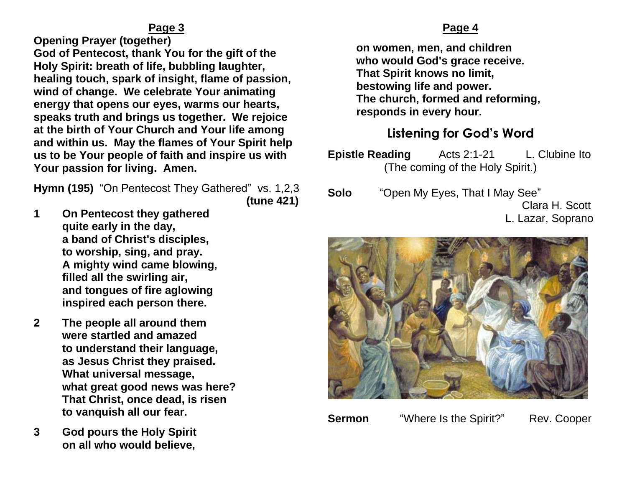**Opening Prayer (together)** 

**God of Pentecost, thank You for the gift of the Holy Spirit: breath of life, bubbling laughter, healing touch, spark of insight, flame of passion, wind of change. We celebrate Your animating energy that opens our eyes, warms our hearts, speaks truth and brings us together. We rejoice at the birth of Your Church and Your life among and within us. May the flames of Your Spirit help us to be Your people of faith and inspire us with Your passion for living. Amen.**

**Hymn (195)** "On Pentecost They Gathered" vs. 1,2,3

- **(tune 421)**
- **1 On Pentecost they gathered quite early in the day, a band of Christ's disciples, to worship, sing, and pray. A mighty wind came blowing, filled all the swirling air, and tongues of fire aglowing inspired each person there.**
- **2 The people all around them were startled and amazed to understand their language, as Jesus Christ they praised. What universal message, what great good news was here? That Christ, once dead, is risen to vanquish all our fear.**
- **3 God pours the Holy Spirit on all who would believe,**

### **Page 4**

**on women, men, and children who would God's grace receive. That Spirit knows no limit, bestowing life and power. The church, formed and reforming, responds in every hour.**

# **Listening for God's Word**

- **Epistle Reading** Acts 2:1-21 L. Clubine Ito (The coming of the Holy Spirit.)
- **Solo** "Open My Eyes, That I May See" Clara H. Scott L. Lazar, Soprano



**Sermon** "Where Is the Spirit?"Rev. Cooper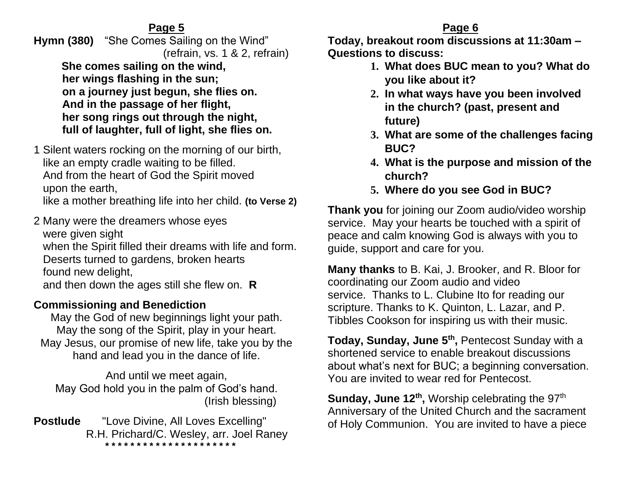### **Page 5**

**Hymn (380)** "She Comes Sailing on the Wind" (refrain, vs. 1 & 2, refrain)  **She comes sailing on the wind,**

**her wings flashing in the sun; on a journey just begun, she flies on. And in the passage of her flight, her song rings out through the night, full of laughter, full of light, she flies on.**

1 Silent waters rocking on the morning of our birth, like an empty cradle waiting to be filled. And from the heart of God the Spirit moved upon the earth,

like a mother breathing life into her child. **(to Verse 2)**

2 Many were the dreamers whose eyes were given sight when the Spirit filled their dreams with life and form. Deserts turned to gardens, broken hearts

found new delight,

and then down the ages still she flew on. **R**

# **Commissioning and Benediction**

May the God of new beginnings light your path. May the song of the Spirit, play in your heart. May Jesus, our promise of new life, take you by the hand and lead you in the dance of life.

And until we meet again, May God hold you in the palm of God's hand. (Irish blessing)

**Postlude** "Love Divine, All Loves Excelling" R.H. Prichard/C. Wesley, arr. Joel Raney  **\* \* \* \* \* \* \* \* \* \* \* \* \* \* \* \* \* \* \* \* \*** 

#### **Page 6**

**Today, breakout room discussions at 11:30am – Questions to discuss:** 

- **1. What does BUC mean to you? What do you like about it?**
- **2. In what ways have you been involved in the church? (past, present and future)**
- **3. What are some of the challenges facing BUC?**
- **4. What is the purpose and mission of the church?**
- **5. Where do you see God in BUC?**

**Thank you** for joining our Zoom audio/video worship service. May your hearts be touched with a spirit of peace and calm knowing God is always with you to guide, support and care for you.

**Many thanks** to B. Kai, J. Brooker, and R. Bloor for coordinating our Zoom audio and video service. Thanks to L. Clubine Ito for reading our scripture. Thanks to K. Quinton, L. Lazar, and P. Tibbles Cookson for inspiring us with their music.

**Today, Sunday, June 5<sup>th</sup>, Pentecost Sunday with a** shortened service to enable breakout discussions about what's next for BUC; a beginning conversation. You are invited to wear red for Pentecost.

**Sunday, June 12<sup>th</sup>, Worship celebrating the 97<sup>th</sup>** Anniversary of the United Church and the sacrament of Holy Communion. You are invited to have a piece